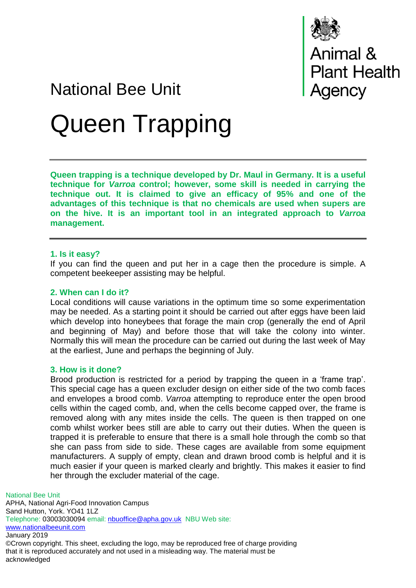

# Animal &<br>Plant Health<br>Agency

# National Bee Unit Queen Trapping

**Queen trapping is a technique developed by Dr. Maul in Germany. It is a useful technique for** *Varroa* **control; however, some skill is needed in carrying the technique out. It is claimed to give an efficacy of 95% and one of the advantages of this technique is that no chemicals are used when supers are on the hive. It is an important tool in an integrated approach to** *Varroa* **management.**

#### **1. Is it easy?**

If you can find the queen and put her in a cage then the procedure is simple. A competent beekeeper assisting may be helpful.

### **2. When can I do it?**

Local conditions will cause variations in the optimum time so some experimentation may be needed. As a starting point it should be carried out after eggs have been laid which develop into honeybees that forage the main crop (generally the end of April and beginning of May) and before those that will take the colony into winter. Normally this will mean the procedure can be carried out during the last week of May at the earliest, June and perhaps the beginning of July.

# **3. How is it done?**

Brood production is restricted for a period by trapping the queen in a 'frame trap'. This special cage has a queen excluder design on either side of the two comb faces and envelopes a brood comb. *Varroa* attempting to reproduce enter the open brood cells within the caged comb, and, when the cells become capped over, the frame is removed along with any mites inside the cells. The queen is then trapped on one comb whilst worker bees still are able to carry out their duties. When the queen is trapped it is preferable to ensure that there is a small hole through the comb so that she can pass from side to side. These cages are available from some equipment manufacturers. A supply of empty, clean and drawn brood comb is helpful and it is much easier if your queen is marked clearly and brightly. This makes it easier to find her through the excluder material of the cage.

National Bee Unit APHA, National Agri-Food Innovation Campus Sand Hutton, York. YO41 1LZ Telephone: 03003030094 email: [nbuoffice@apha.gov.uk](mailto:nbuoffice@apha.gov.uk) NBU Web site: [www.nationalbeeunit.com](http://www.nationalbeeunit.com/) January 2019 ©Crown copyright. This sheet, excluding the logo, may be reproduced free of charge providing

that it is reproduced accurately and not used in a misleading way. The material must be acknowledged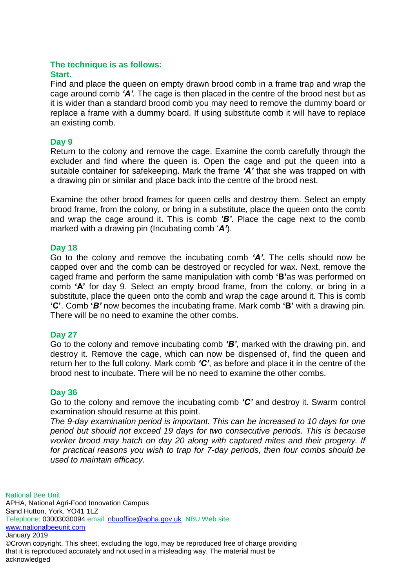# **The technique is as follows:**

### **Start.**

Find and place the queen on empty drawn brood comb in a frame trap and wrap the cage around comb *'A'.* The cage is then placed in the centre of the brood nest but as it is wider than a standard brood comb you may need to remove the dummy board or replace a frame with a dummy board. If using substitute comb it will have to replace an existing comb.

## **Day 9**

Return to the colony and remove the cage. Examine the comb carefully through the excluder and find where the queen is. Open the cage and put the queen into a suitable container for safekeeping. Mark the frame *'A'* that she was trapped on with a drawing pin or similar and place back into the centre of the brood nest.

Examine the other brood frames for queen cells and destroy them. Select an empty brood frame, from the colony, or bring in a substitute, place the queen onto the comb and wrap the cage around it. This is comb *'B'*. Place the cage next to the comb marked with a drawing pin (Incubating comb '*A'*).

# **Day 18**

Go to the colony and remove the incubating comb *'A'.* The cells should now be capped over and the comb can be destroyed or recycled for wax. Next, remove the caged frame and perform the same manipulation with comb **'B'**as was performed on comb **'A'** for day 9. Select an empty brood frame, from the colony, or bring in a substitute, place the queen onto the comb and wrap the cage around it. This is comb **'C'**. Comb **'***B'* now becomes the incubating frame. Mark comb **'B'** with a drawing pin*.* There will be no need to examine the other combs.

# **Day 27**

Go to the colony and remove incubating comb *'B'*, marked with the drawing pin, and destroy it. Remove the cage, which can now be dispensed of, find the queen and return her to the full colony. Mark comb *'C'*, as before and place it in the centre of the brood nest to incubate. There will be no need to examine the other combs.

#### **Day 36**

Go to the colony and remove the incubating comb *'C'* and destroy it. Swarm control examination should resume at this point.

*The 9-day examination period is important. This can be increased to 10 days for one period but should not exceed 19 days for two consecutive periods. This is because worker brood may hatch on day 20 along with captured mites and their progeny. If for practical reasons you wish to trap for 7-day periods, then four combs should be used to maintain efficacy.*

National Bee Unit APHA, National Agri-Food Innovation Campus Sand Hutton, York. YO41 1LZ Telephone: 03003030094 email: [nbuoffice@apha.gov.uk](mailto:nbuoffice@apha.gov.uk) NBU Web site: [www.nationalbeeunit.com](http://www.nationalbeeunit.com/) January 2019 ©Crown copyright. This sheet, excluding the logo, may be reproduced free of charge providing

that it is reproduced accurately and not used in a misleading way. The material must be acknowledged